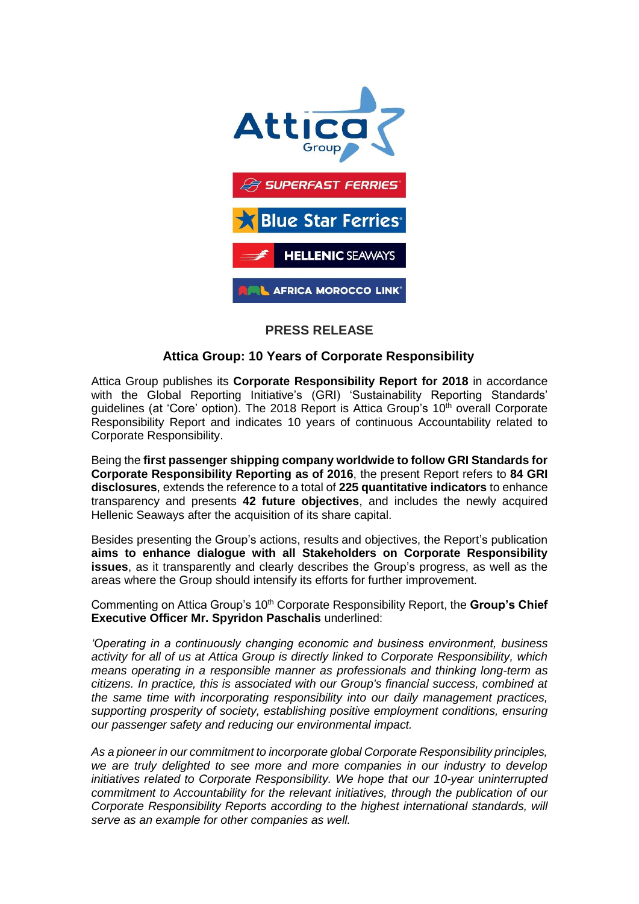

## **PRESS RELEASE**

## **Attica Group: 10 Years of Corporate Responsibility**

Attica Group publishes its **Corporate Responsibility Report for 2018** in accordance with the Global Reporting Initiative's (GRI) 'Sustainability Reporting Standards' guidelines (at 'Core' option). The 2018 Report is Attica Group's  $10<sup>th</sup>$  overall Corporate Responsibility Report and indicates 10 years of continuous Accountability related to Corporate Responsibility.

Being the **first passenger shipping company worldwide to follow GRI Standards for Corporate Responsibility Reporting as of 2016**, the present Report refers to **84 GRI disclosures**, extends the reference to a total of **225 quantitative indicators** to enhance transparency and presents **42 future objectives**, and includes the newly acquired Hellenic Seaways after the acquisition of its share capital.

Besides presenting the Group's actions, results and objectives, the Report's publication **aims to enhance dialogue with all Stakeholders on Corporate Responsibility issues**, as it transparently and clearly describes the Group's progress, as well as the areas where the Group should intensify its efforts for further improvement.

Commenting on Attica Group's 10<sup>th</sup> Corporate Responsibility Report, the **Group's Chief Executive Officer Mr. Spyridon Paschalis** underlined:

*'Operating in a continuously changing economic and business environment, business activity for all of us at Attica Group is directly linked to Corporate Responsibility, which means operating in a responsible manner as professionals and thinking long-term as citizens. In practice, this is associated with our Group's financial success, combined at the same time with incorporating responsibility into our daily management practices, supporting prosperity of society, establishing positive employment conditions, ensuring our passenger safety and reducing our environmental impact.*

*As a pioneer in our commitment to incorporate global Corporate Responsibility principles, we are truly delighted to see more and more companies in our industry to develop initiatives related to Corporate Responsibility. We hope that our 10-year uninterrupted commitment to Accountability for the relevant initiatives, through the publication of our Corporate Responsibility Reports according to the highest international standards, will serve as an example for other companies as well.*